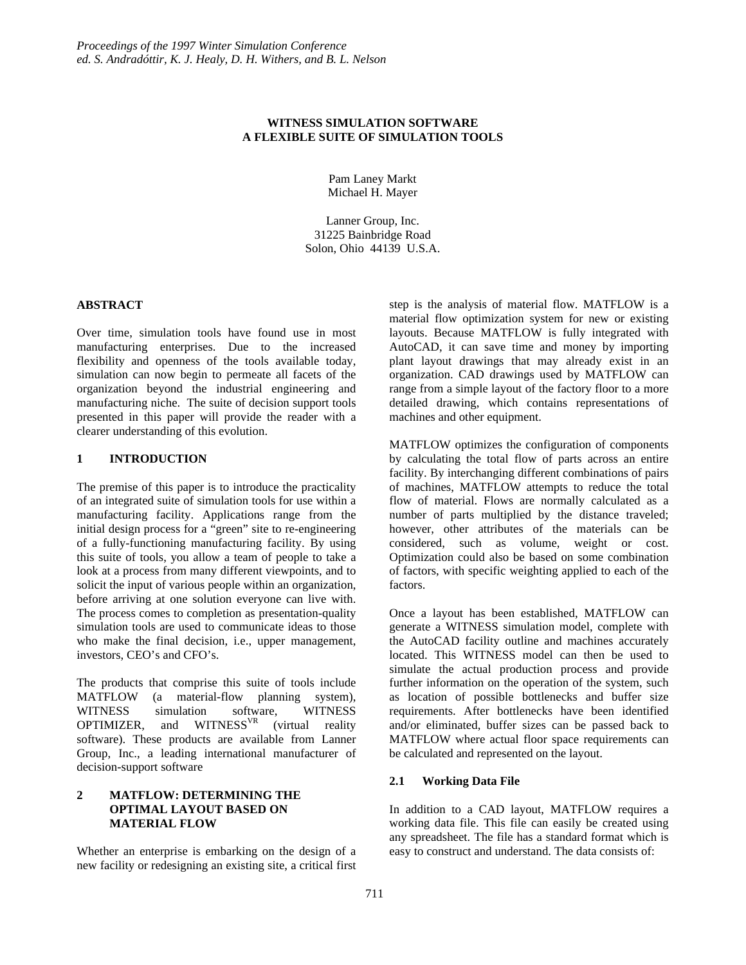## **WITNESS SIMULATION SOFTWARE A FLEXIBLE SUITE OF SIMULATION TOOLS**

Pam Laney Markt Michael H. Mayer

Lanner Group, Inc. 31225 Bainbridge Road Solon, Ohio 44139 U.S.A.

#### **ABSTRACT**

Over time, simulation tools have found use in most manufacturing enterprises. Due to the increased flexibility and openness of the tools available today, simulation can now begin to permeate all facets of the organization beyond the industrial engineering and manufacturing niche. The suite of decision support tools presented in this paper will provide the reader with a clearer understanding of this evolution.

#### **1 INTRODUCTION**

The premise of this paper is to introduce the practicality of an integrated suite of simulation tools for use within a manufacturing facility. Applications range from the initial design process for a "green" site to re-engineering of a fully-functioning manufacturing facility. By using this suite of tools, you allow a team of people to take a look at a process from many different viewpoints, and to solicit the input of various people within an organization, before arriving at one solution everyone can live with. The process comes to completion as presentation-quality simulation tools are used to communicate ideas to those who make the final decision, i.e., upper management, investors, CEO's and CFO's.

The products that comprise this suite of tools include MATFLOW (a material-flow planning system), WITNESS simulation software, WITNESS OPTIMIZER, and WITNESS<sup>VR</sup> (virtual reality) software). These products are available from Lanner Group, Inc., a leading international manufacturer of decision-support software

## **2 MATFLOW: DETERMINING THE OPTIMAL LAYOUT BASED ON MATERIAL FLOW**

Whether an enterprise is embarking on the design of a new facility or redesigning an existing site, a critical first step is the analysis of material flow. MATFLOW is a material flow optimization system for new or existing layouts. Because MATFLOW is fully integrated with AutoCAD, it can save time and money by importing plant layout drawings that may already exist in an organization. CAD drawings used by MATFLOW can range from a simple layout of the factory floor to a more detailed drawing, which contains representations of machines and other equipment.

MATFLOW optimizes the configuration of components by calculating the total flow of parts across an entire facility. By interchanging different combinations of pairs of machines, MATFLOW attempts to reduce the total flow of material. Flows are normally calculated as a number of parts multiplied by the distance traveled; however, other attributes of the materials can be considered, such as volume, weight or cost. Optimization could also be based on some combination of factors, with specific weighting applied to each of the factors.

Once a layout has been established, MATFLOW can generate a WITNESS simulation model, complete with the AutoCAD facility outline and machines accurately located. This WITNESS model can then be used to simulate the actual production process and provide further information on the operation of the system, such as location of possible bottlenecks and buffer size requirements. After bottlenecks have been identified and/or eliminated, buffer sizes can be passed back to MATFLOW where actual floor space requirements can be calculated and represented on the layout.

#### **2.1 Working Data File**

In addition to a CAD layout, MATFLOW requires a working data file. This file can easily be created using any spreadsheet. The file has a standard format which is easy to construct and understand. The data consists of: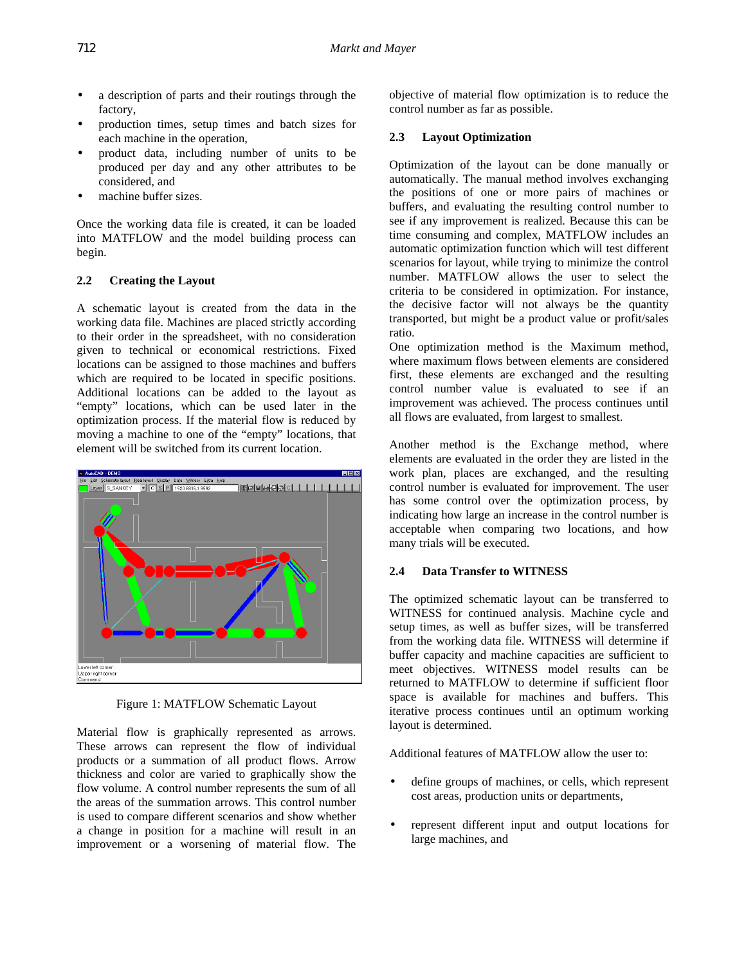- a description of parts and their routings through the factory,
- production times, setup times and batch sizes for each machine in the operation,
- product data, including number of units to be produced per day and any other attributes to be considered, and
- machine buffer sizes.

Once the working data file is created, it can be loaded into MATFLOW and the model building process can begin.

#### **2.2 Creating the Layout**

A schematic layout is created from the data in the working data file. Machines are placed strictly according to their order in the spreadsheet, with no consideration given to technical or economical restrictions. Fixed locations can be assigned to those machines and buffers which are required to be located in specific positions. Additional locations can be added to the layout as "empty" locations, which can be used later in the optimization process. If the material flow is reduced by moving a machine to one of the "empty" locations, that element will be switched from its current location.



Figure 1: MATFLOW Schematic Layout

Material flow is graphically represented as arrows. These arrows can represent the flow of individual products or a summation of all product flows. Arrow thickness and color are varied to graphically show the flow volume. A control number represents the sum of all the areas of the summation arrows. This control number is used to compare different scenarios and show whether a change in position for a machine will result in an improvement or a worsening of material flow. The

objective of material flow optimization is to reduce the control number as far as possible.

## **2.3 Layout Optimization**

Optimization of the layout can be done manually or automatically. The manual method involves exchanging the positions of one or more pairs of machines or buffers, and evaluating the resulting control number to see if any improvement is realized. Because this can be time consuming and complex, MATFLOW includes an automatic optimization function which will test different scenarios for layout, while trying to minimize the control number. MATFLOW allows the user to select the criteria to be considered in optimization. For instance, the decisive factor will not always be the quantity transported, but might be a product value or profit/sales ratio.

One optimization method is the Maximum method, where maximum flows between elements are considered first, these elements are exchanged and the resulting control number value is evaluated to see if an improvement was achieved. The process continues until all flows are evaluated, from largest to smallest.

Another method is the Exchange method, where elements are evaluated in the order they are listed in the work plan, places are exchanged, and the resulting control number is evaluated for improvement. The user has some control over the optimization process, by indicating how large an increase in the control number is acceptable when comparing two locations, and how many trials will be executed.

## **2.4 Data Transfer to WITNESS**

The optimized schematic layout can be transferred to WITNESS for continued analysis. Machine cycle and setup times, as well as buffer sizes, will be transferred from the working data file. WITNESS will determine if buffer capacity and machine capacities are sufficient to meet objectives. WITNESS model results can be returned to MATFLOW to determine if sufficient floor space is available for machines and buffers. This iterative process continues until an optimum working layout is determined.

Additional features of MATFLOW allow the user to:

- define groups of machines, or cells, which represent cost areas, production units or departments,
- represent different input and output locations for large machines, and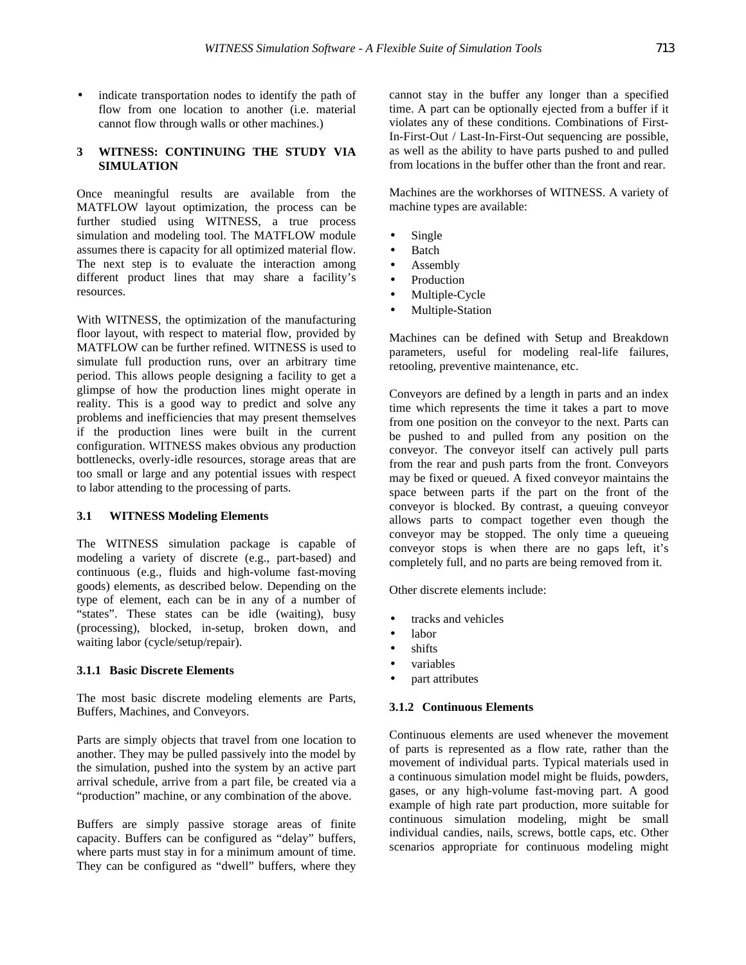• indicate transportation nodes to identify the path of flow from one location to another (i.e. material cannot flow through walls or other machines.)

#### **3 WITNESS: CONTINUING THE STUDY VIA SIMULATION**

Once meaningful results are available from the MATFLOW layout optimization, the process can be further studied using WITNESS, a true process simulation and modeling tool. The MATFLOW module assumes there is capacity for all optimized material flow. The next step is to evaluate the interaction among different product lines that may share a facility's resources.

With WITNESS, the optimization of the manufacturing floor layout, with respect to material flow, provided by MATFLOW can be further refined. WITNESS is used to simulate full production runs, over an arbitrary time period. This allows people designing a facility to get a glimpse of how the production lines might operate in reality. This is a good way to predict and solve any problems and inefficiencies that may present themselves if the production lines were built in the current configuration. WITNESS makes obvious any production bottlenecks, overly-idle resources, storage areas that are too small or large and any potential issues with respect to labor attending to the processing of parts.

#### **3.1 WITNESS Modeling Elements**

The WITNESS simulation package is capable of modeling a variety of discrete (e.g., part-based) and continuous (e.g., fluids and high-volume fast-moving goods) elements, as described below. Depending on the type of element, each can be in any of a number of "states". These states can be idle (waiting), busy (processing), blocked, in-setup, broken down, and waiting labor (cycle/setup/repair).

#### **3.1.1 Basic Discrete Elements**

The most basic discrete modeling elements are Parts, Buffers, Machines, and Conveyors.

Parts are simply objects that travel from one location to another. They may be pulled passively into the model by the simulation, pushed into the system by an active part arrival schedule, arrive from a part file, be created via a "production" machine, or any combination of the above.

Buffers are simply passive storage areas of finite capacity. Buffers can be configured as "delay" buffers, where parts must stay in for a minimum amount of time. They can be configured as "dwell" buffers, where they cannot stay in the buffer any longer than a specified time. A part can be optionally ejected from a buffer if it violates any of these conditions. Combinations of First-In-First-Out / Last-In-First-Out sequencing are possible, as well as the ability to have parts pushed to and pulled from locations in the buffer other than the front and rear.

Machines are the workhorses of WITNESS. A variety of machine types are available:

- **Single**
- **Batch**
- Assembly
- Production
- Multiple-Cycle
- Multiple-Station

Machines can be defined with Setup and Breakdown parameters, useful for modeling real-life failures, retooling, preventive maintenance, etc.

Conveyors are defined by a length in parts and an index time which represents the time it takes a part to move from one position on the conveyor to the next. Parts can be pushed to and pulled from any position on the conveyor. The conveyor itself can actively pull parts from the rear and push parts from the front. Conveyors may be fixed or queued. A fixed conveyor maintains the space between parts if the part on the front of the conveyor is blocked. By contrast, a queuing conveyor allows parts to compact together even though the conveyor may be stopped. The only time a queueing conveyor stops is when there are no gaps left, it's completely full, and no parts are being removed from it.

Other discrete elements include:

- tracks and vehicles
- labor
- shifts
- variables
- part attributes

#### **3.1.2 Continuous Elements**

Continuous elements are used whenever the movement of parts is represented as a flow rate, rather than the movement of individual parts. Typical materials used in a continuous simulation model might be fluids, powders, gases, or any high-volume fast-moving part. A good example of high rate part production, more suitable for continuous simulation modeling, might be small individual candies, nails, screws, bottle caps, etc. Other scenarios appropriate for continuous modeling might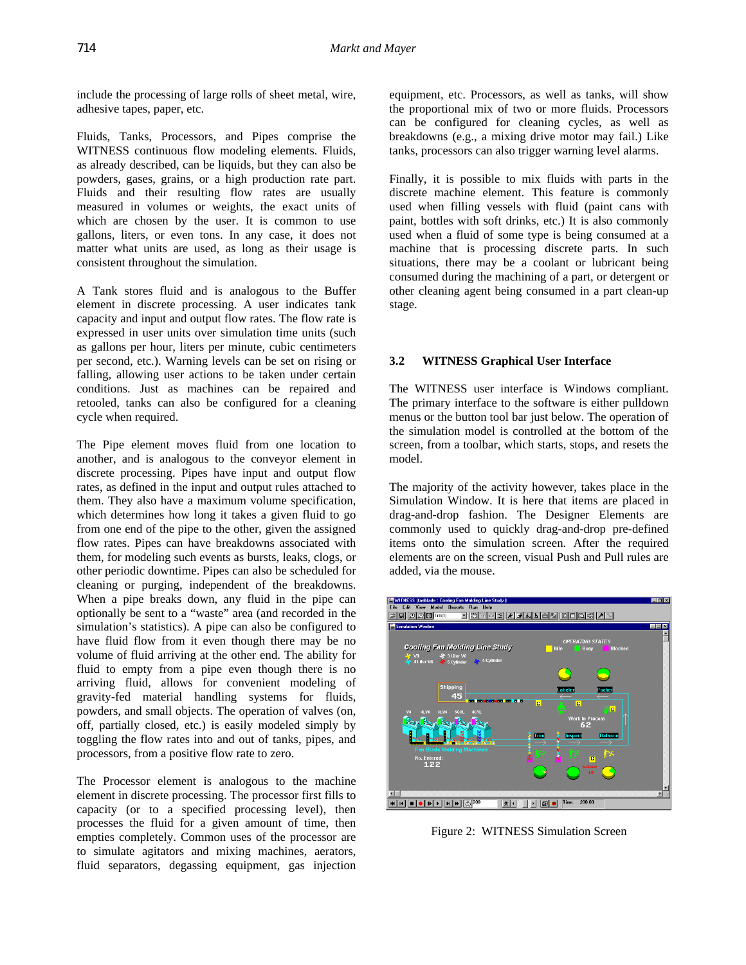include the processing of large rolls of sheet metal, wire, adhesive tapes, paper, etc.

Fluids, Tanks, Processors, and Pipes comprise the WITNESS continuous flow modeling elements. Fluids, as already described, can be liquids, but they can also be powders, gases, grains, or a high production rate part. Fluids and their resulting flow rates are usually measured in volumes or weights, the exact units of which are chosen by the user. It is common to use gallons, liters, or even tons. In any case, it does not matter what units are used, as long as their usage is consistent throughout the simulation.

A Tank stores fluid and is analogous to the Buffer element in discrete processing. A user indicates tank capacity and input and output flow rates. The flow rate is expressed in user units over simulation time units (such as gallons per hour, liters per minute, cubic centimeters per second, etc.). Warning levels can be set on rising or falling, allowing user actions to be taken under certain conditions. Just as machines can be repaired and retooled, tanks can also be configured for a cleaning cycle when required.

The Pipe element moves fluid from one location to another, and is analogous to the conveyor element in discrete processing. Pipes have input and output flow rates, as defined in the input and output rules attached to them. They also have a maximum volume specification, which determines how long it takes a given fluid to go from one end of the pipe to the other, given the assigned flow rates. Pipes can have breakdowns associated with them, for modeling such events as bursts, leaks, clogs, or other periodic downtime. Pipes can also be scheduled for cleaning or purging, independent of the breakdowns. When a pipe breaks down, any fluid in the pipe can optionally be sent to a "waste" area (and recorded in the simulation's statistics). A pipe can also be configured to have fluid flow from it even though there may be no volume of fluid arriving at the other end. The ability for fluid to empty from a pipe even though there is no arriving fluid, allows for convenient modeling of gravity-fed material handling systems for fluids, powders, and small objects. The operation of valves (on, off, partially closed, etc.) is easily modeled simply by toggling the flow rates into and out of tanks, pipes, and processors, from a positive flow rate to zero.

The Processor element is analogous to the machine element in discrete processing. The processor first fills to capacity (or to a specified processing level), then processes the fluid for a given amount of time, then empties completely. Common uses of the processor are to simulate agitators and mixing machines, aerators, fluid separators, degassing equipment, gas injection equipment, etc. Processors, as well as tanks, will show the proportional mix of two or more fluids. Processors can be configured for cleaning cycles, as well as breakdowns (e.g., a mixing drive motor may fail.) Like tanks, processors can also trigger warning level alarms.

Finally, it is possible to mix fluids with parts in the discrete machine element. This feature is commonly used when filling vessels with fluid (paint cans with paint, bottles with soft drinks, etc.) It is also commonly used when a fluid of some type is being consumed at a machine that is processing discrete parts. In such situations, there may be a coolant or lubricant being consumed during the machining of a part, or detergent or other cleaning agent being consumed in a part clean-up stage.

#### **3.2 WITNESS Graphical User Interface**

The WITNESS user interface is Windows compliant. The primary interface to the software is either pulldown menus or the button tool bar just below. The operation of the simulation model is controlled at the bottom of the screen, from a toolbar, which starts, stops, and resets the model.

The majority of the activity however, takes place in the Simulation Window. It is here that items are placed in drag-and-drop fashion. The Designer Elements are commonly used to quickly drag-and-drop pre-defined items onto the simulation screen. After the required elements are on the screen, visual Push and Pull rules are added, via the mouse.



Figure 2: WITNESS Simulation Screen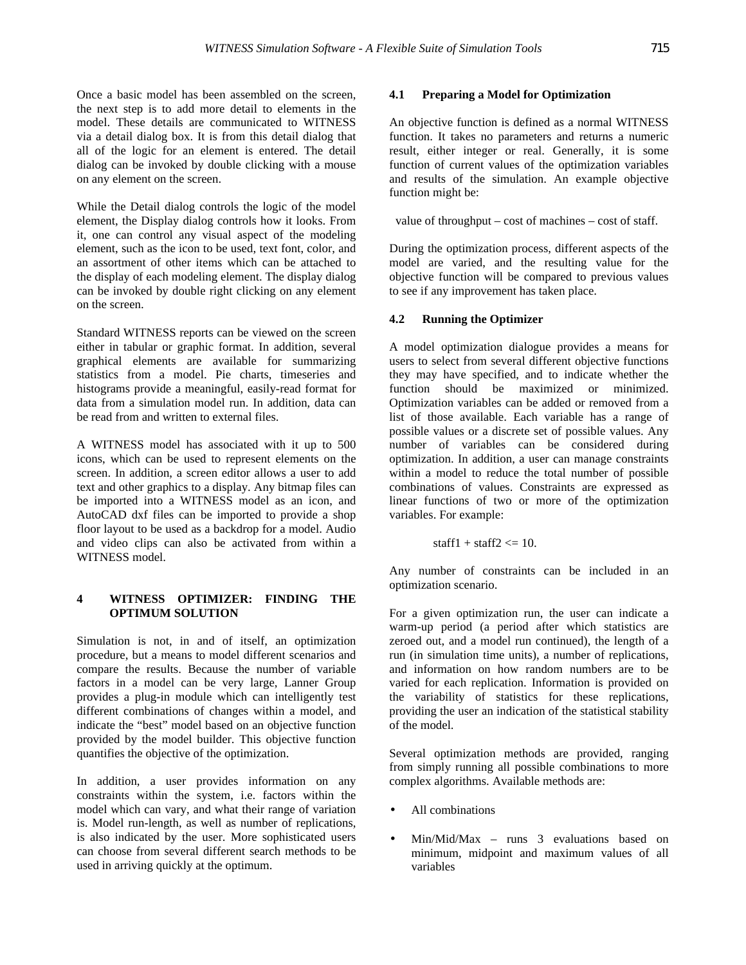Once a basic model has been assembled on the screen, the next step is to add more detail to elements in the model. These details are communicated to WITNESS via a detail dialog box. It is from this detail dialog that all of the logic for an element is entered. The detail dialog can be invoked by double clicking with a mouse on any element on the screen.

While the Detail dialog controls the logic of the model element, the Display dialog controls how it looks. From it, one can control any visual aspect of the modeling element, such as the icon to be used, text font, color, and an assortment of other items which can be attached to the display of each modeling element. The display dialog can be invoked by double right clicking on any element on the screen.

Standard WITNESS reports can be viewed on the screen either in tabular or graphic format. In addition, several graphical elements are available for summarizing statistics from a model. Pie charts, timeseries and histograms provide a meaningful, easily-read format for data from a simulation model run. In addition, data can be read from and written to external files.

A WITNESS model has associated with it up to 500 icons, which can be used to represent elements on the screen. In addition, a screen editor allows a user to add text and other graphics to a display. Any bitmap files can be imported into a WITNESS model as an icon, and AutoCAD dxf files can be imported to provide a shop floor layout to be used as a backdrop for a model. Audio and video clips can also be activated from within a WITNESS model.

## **4 WITNESS OPTIMIZER: FINDING THE OPTIMUM SOLUTION**

Simulation is not, in and of itself, an optimization procedure, but a means to model different scenarios and compare the results. Because the number of variable factors in a model can be very large, Lanner Group provides a plug-in module which can intelligently test different combinations of changes within a model, and indicate the "best" model based on an objective function provided by the model builder. This objective function quantifies the objective of the optimization.

In addition, a user provides information on any constraints within the system, i.e. factors within the model which can vary, and what their range of variation is. Model run-length, as well as number of replications, is also indicated by the user. More sophisticated users can choose from several different search methods to be used in arriving quickly at the optimum.

### **4.1 Preparing a Model for Optimization**

An objective function is defined as a normal WITNESS function. It takes no parameters and returns a numeric result, either integer or real. Generally, it is some function of current values of the optimization variables and results of the simulation. An example objective function might be:

value of throughput – cost of machines – cost of staff.

During the optimization process, different aspects of the model are varied, and the resulting value for the objective function will be compared to previous values to see if any improvement has taken place.

#### **4.2 Running the Optimizer**

A model optimization dialogue provides a means for users to select from several different objective functions they may have specified, and to indicate whether the function should be maximized or minimized. Optimization variables can be added or removed from a list of those available. Each variable has a range of possible values or a discrete set of possible values. Any number of variables can be considered during optimization. In addition, a user can manage constraints within a model to reduce the total number of possible combinations of values. Constraints are expressed as linear functions of two or more of the optimization variables. For example:

staff1 + staff2  $\leq$  10.

Any number of constraints can be included in an optimization scenario.

For a given optimization run, the user can indicate a warm-up period (a period after which statistics are zeroed out, and a model run continued), the length of a run (in simulation time units), a number of replications, and information on how random numbers are to be varied for each replication. Information is provided on the variability of statistics for these replications, providing the user an indication of the statistical stability of the model.

Several optimization methods are provided, ranging from simply running all possible combinations to more complex algorithms. Available methods are:

- All combinations
- Min/Mid/Max runs 3 evaluations based on minimum, midpoint and maximum values of all variables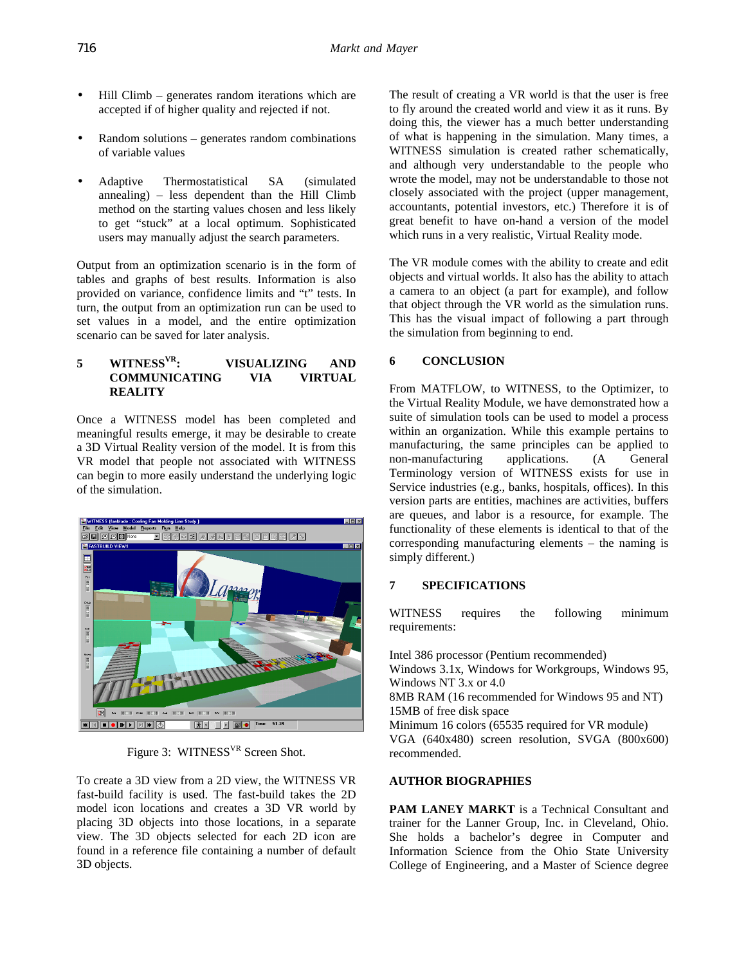- Hill Climb generates random iterations which are accepted if of higher quality and rejected if not.
- Random solutions generates random combinations of variable values
- Adaptive Thermostatistical SA (simulated annealing) – less dependent than the Hill Climb method on the starting values chosen and less likely to get "stuck" at a local optimum. Sophisticated users may manually adjust the search parameters.

Output from an optimization scenario is in the form of tables and graphs of best results. Information is also provided on variance, confidence limits and "t" tests. In turn, the output from an optimization run can be used to set values in a model, and the entire optimization scenario can be saved for later analysis.

# **5 WITNESSVR: VISUALIZING AND COMMUNICATING VIA VIRTUAL REALITY**

Once a WITNESS model has been completed and meaningful results emerge, it may be desirable to create a 3D Virtual Reality version of the model. It is from this VR model that people not associated with WITNESS can begin to more easily understand the underlying logic of the simulation.



Figure 3: WITNESS<sup>VR</sup> Screen Shot.

To create a 3D view from a 2D view, the WITNESS VR fast-build facility is used. The fast-build takes the 2D model icon locations and creates a 3D VR world by placing 3D objects into those locations, in a separate view. The 3D objects selected for each 2D icon are found in a reference file containing a number of default 3D objects.

The result of creating a VR world is that the user is free to fly around the created world and view it as it runs. By doing this, the viewer has a much better understanding of what is happening in the simulation. Many times, a WITNESS simulation is created rather schematically, and although very understandable to the people who wrote the model, may not be understandable to those not closely associated with the project (upper management, accountants, potential investors, etc.) Therefore it is of great benefit to have on-hand a version of the model which runs in a very realistic, Virtual Reality mode.

The VR module comes with the ability to create and edit objects and virtual worlds. It also has the ability to attach a camera to an object (a part for example), and follow that object through the VR world as the simulation runs. This has the visual impact of following a part through the simulation from beginning to end.

## **6 CONCLUSION**

From MATFLOW, to WITNESS, to the Optimizer, to the Virtual Reality Module, we have demonstrated how a suite of simulation tools can be used to model a process within an organization. While this example pertains to manufacturing, the same principles can be applied to non-manufacturing applications. (A General Terminology version of WITNESS exists for use in Service industries (e.g., banks, hospitals, offices). In this version parts are entities, machines are activities, buffers are queues, and labor is a resource, for example. The functionality of these elements is identical to that of the corresponding manufacturing elements – the naming is simply different.)

## **7 SPECIFICATIONS**

WITNESS requires the following minimum requirements:

Intel 386 processor (Pentium recommended) Windows 3.1x, Windows for Workgroups, Windows 95, Windows NT 3.x or 4.0 8MB RAM (16 recommended for Windows 95 and NT) 15MB of free disk space Minimum 16 colors (65535 required for VR module) VGA (640x480) screen resolution, SVGA (800x600) recommended.

## **AUTHOR BIOGRAPHIES**

PAM LANEY MARKT is a Technical Consultant and trainer for the Lanner Group, Inc. in Cleveland, Ohio. She holds a bachelor's degree in Computer and Information Science from the Ohio State University College of Engineering, and a Master of Science degree